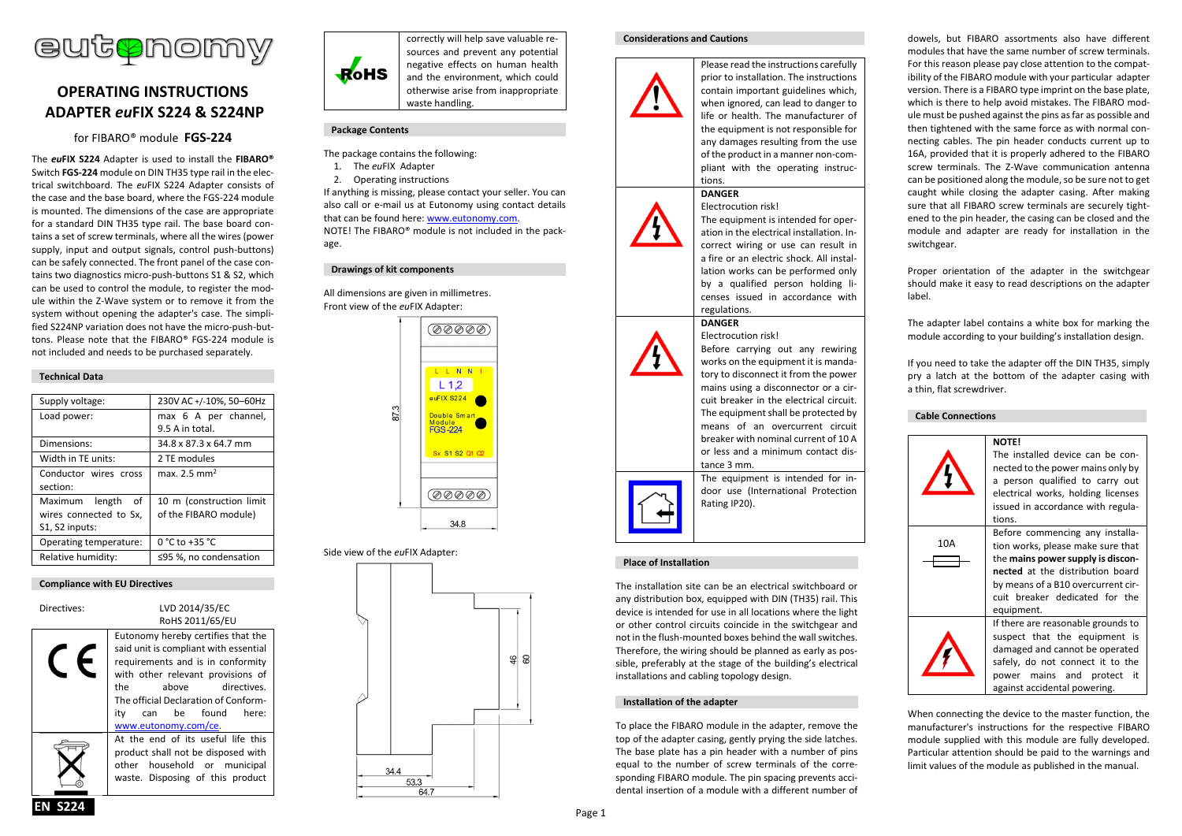

# **OPERATING INSTRUCTIONS ADAPTER** *eu***FIX S224 & S224NP**

for FIBARO® module **FGS-224**

The *eu***FIX S224** Adapter is used to install the **FIBARO®**  Switch **FGS-224** module on DIN TH35 type rail in the electrical switchboard. The *eu*FIX S224 Adapter consists of the case and the base board, where the FGS-224 module is mounted. The dimensions of the case are appropriate for a standard DIN TH35 type rail. The base board contains a set of screw terminals, where all the wires (power supply, input and output signals, control push-buttons) can be safely connected. The front panel of the case contains two diagnostics micro-push-buttons S1 & S2, which can be used to control the module, to register the module within the Z-Wave system or to remove it from the system without opening the adapter's case. The simplified S224NP variation does not have the micro-push-buttons. Please note that the FIBARO® FGS-224 module is not included and needs to be purchased separately.

## **Technical Data**

| Supply voltage:        | 230V AC +/-10%, 50-60Hz  |  |
|------------------------|--------------------------|--|
| Load power:            | max 6 A per channel,     |  |
|                        | 9.5 A in total.          |  |
| Dimensions:            | 34.8 x 87.3 x 64.7 mm    |  |
| Width in TE units:     | 2 TE modules             |  |
| Conductor wires cross  | max. 2.5 mm <sup>2</sup> |  |
| section:               |                          |  |
| Maximum length of      | 10 m (construction limit |  |
| wires connected to Sx, | of the FIBARO module)    |  |
| S1, S2 inputs:         |                          |  |
| Operating temperature: | 0 °C to +35 °C           |  |
| Relative humidity:     | ≤95 %, no condensation   |  |

## **Compliance with EU Directives**

| Directives: | LVD 2014/35/EC<br>RoHS 2011/65/EU                                                                                                                                                                                                                                                       |  |
|-------------|-----------------------------------------------------------------------------------------------------------------------------------------------------------------------------------------------------------------------------------------------------------------------------------------|--|
|             | Eutonomy hereby certifies that the<br>said unit is compliant with essential<br>requirements and is in conformity<br>with other relevant provisions of<br>the<br>directives.<br>above<br>The official Declaration of Conform-<br>be found<br>here:<br>itv<br>can<br>www.eutonomy.com/ce. |  |
|             | At the end of its useful life this<br>product shall not be disposed with<br>other household or municipal<br>waste. Disposing of this product                                                                                                                                            |  |



correctly will help save valuable resources and prevent any potential negative effects on human health and the environment, which could otherwise arise from inappropriate waste handling.

## **Package Contents**

The package contains the following:

- 1. The *eu*FIX Adapter
- 2. Operating instructions

**Drawings of kit components**

If anything is missing, please contact your seller. You can also call or e-mail us at Eutonomy using contact details that can be found here: www.eutonomy.com. NOTE! The FIBARO® module is not included in the package.

All dimensions are given in millimetres. Front view of the *eu*FIX Adapter:



## Side view of the *eu*FIX Adapter:



#### **Considerations and Cautions**



Please read the instructions carefully prior to installation. The instructions contain important guidelines which, when ignored, can lead to danger to life or health. The manufacturer of the equipment is not responsible for any damages resulting from the use of the product in a manner non-compliant with the operating instructions.

#### **DANGER** Electrocution risk!



The equipment is intended for operation in the electrical installation. Incorrect wiring or use can result in a fire or an electric shock. All installation works can be performed only by a qualified person holding licenses issued in accordance with regulations.

Before carrying out any rewiring works on the equipment it is mandatory to disconnect it from the power mains using a disconnector or a circuit breaker in the electrical circuit. The equipment shall be protected by means of an overcurrent circuit breaker with nominal current of 10 A or less and a minimum contact dis-

The equipment is intended for indoor use (International Protection

#### **DANGER** Electrocution risk!

tance 3 mm.

Rating IP20).



## **Place of Installation**

The installation site can be an electrical switchboard or any distribution box, equipped with DIN (TH35) rail. This device is intended for use in all locations where the light or other control circuits coincide in the switchgear and not in the flush-mounted boxes behind the wall switches. Therefore, the wiring should be planned as early as possible, preferably at the stage of the building's electrical installations and cabling topology design.

## **Installation of the adapter**

To place the FIBARO module in the adapter, remove the top of the adapter casing, gently prying the side latches. The base plate has a pin header with a number of pins equal to the number of screw terminals of the corresponding FIBARO module. The pin spacing prevents accidental insertion of a module with a different number of dowels, but FIBARO assortments also have different modules that have the same number of screw terminals. For this reason please pay close attention to the compatibility of the FIBARO module with your particular adapter version. There is a FIBARO type imprint on the base plate, which is there to help avoid mistakes. The FIBARO module must be pushed against the pins as far as possible and then tightened with the same force as with normal connecting cables. The pin header conducts current up to 16A, provided that it is properly adhered to the FIBARO screw terminals. The Z-Wave communication antenna can be positioned along the module, so be sure not to get caught while closing the adapter casing. After making sure that all FIBARO screw terminals are securely tightened to the pin header, the casing can be closed and the module and adapter are ready for installation in the switchgear.

Proper orientation of the adapter in the switchgear should make it easy to read descriptions on the adapter label.

The adapter label contains a white box for marking the module according to your building's installation design.

If you need to take the adapter off the DIN TH35, simply pry a latch at the bottom of the adapter casing with a thin, flat screwdriver.

#### **Cable Connections**



When connecting the device to the master function, the manufacturer's instructions for the respective FIBARO module supplied with this module are fully developed. Particular attention should be paid to the warnings and limit values of the module as published in the manual.